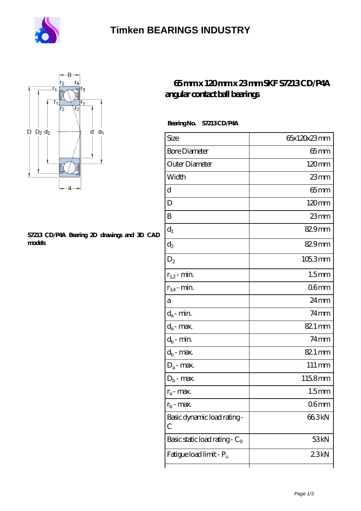

### **[Timken BEARINGS INDUSTRY](https://centreforimmunodeficiency.com)**



#### **[S7213 CD/P4A Bearing 2D drawings and 3D CAD](https://centreforimmunodeficiency.com/pic-533885.html) [models](https://centreforimmunodeficiency.com/pic-533885.html)**

### **[65 mm x 120 mm x 23 mm SKF S7213 CD/P4A](https://centreforimmunodeficiency.com/skf-s7213-cd-p4a-bearing/) [angular contact ball bearings](https://centreforimmunodeficiency.com/skf-s7213-cd-p4a-bearing/)**

### **Bearing No. S7213 CD/P4A**

| Size                             | 65x120x23mm         |
|----------------------------------|---------------------|
| <b>Bore Diameter</b>             | $65 \text{mm}$      |
| Outer Diameter                   | $120 \text{mm}$     |
| Width                            | 23mm                |
| d                                | $65$ mm             |
| D                                | $120 \text{mm}$     |
| B                                | $23$ mm             |
| $d_1$                            | 829mm               |
| $\mathrm{d}_2$                   | 829mm               |
| $D_2$                            | 105.3mm             |
| $r_{1,2}$ - min.                 | 1.5 <sub>mm</sub>   |
| $r_{34}$ - min.                  | 06mm                |
| а                                | $24 \,\mathrm{mm}$  |
| $d_a$ - min.                     | $74$ mm             |
| $d_a$ - max.                     | 82.1 mm             |
| $d_b$ - min.                     | $74$ mm             |
| $d_b$ - max.                     | 82.1 mm             |
| $D_a$ - max.                     | $111 \,\mathrm{mm}$ |
| $D_b$ - max.                     | 1158mm              |
| $r_a$ - max.                     | 1.5 <sub>mm</sub>   |
| $r_{\rm b}$ - max.               | 06mm                |
| Basic dynamic load rating-<br>С  | 66.3kN              |
| Basic static load rating - $C_0$ | 53kN                |
| Fatigue load limit - Pu          | 23kN                |
|                                  |                     |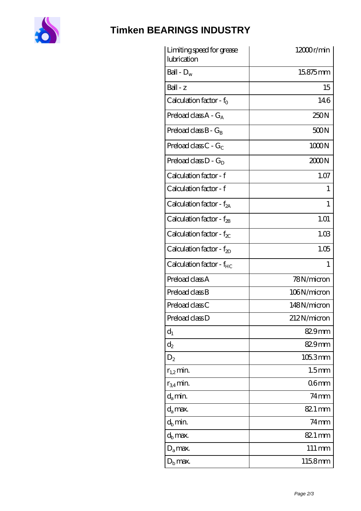

# **[Timken BEARINGS INDUSTRY](https://centreforimmunodeficiency.com)**

| Limiting speed for grease<br>lubrication | $12000$ r/min       |
|------------------------------------------|---------------------|
| Ball - $D_w$                             | 15875mm             |
| $Ball - z$                               | 15                  |
| Calculation factor - f <sub>o</sub>      | 146                 |
| Preload class $A - G_A$                  | 250N                |
| Preload class $B - G_B$                  | 500N                |
| Preload class C - $G_C$                  | 1000N               |
| Preload class $D - G_D$                  | 2000N               |
| Calculation factor - f                   | 1.07                |
| Calculation factor - f                   | 1                   |
| Calculation factor - $f_{2A}$            | 1                   |
| Calculation factor - $f_{2B}$            | 1.01                |
| Calculation factor - $f_{\chi}$          | 1.03                |
| Calculation factor - $f_{2D}$            | 1.05                |
| Calculation factor - f <sub>HC</sub>     | 1                   |
| Preload class A                          | 78N/micron          |
| Preload class B                          | 106N/micron         |
| Preload class C                          | 148N/micron         |
| Preload class D                          | 212N/micron         |
| $d_1$                                    | 829mm               |
| $\mathrm{d}_2$                           | 82.9mm              |
| $D_2$                                    | 1053mm              |
| $r_{1,2}$ min.                           | 1.5 <sub>mm</sub>   |
| $r_{34}$ min.                            | 06 <sub>mm</sub>    |
| $d_a$ min.                               | $74$ mm             |
| $d_a$ max.                               | 82.1 mm             |
| $d_h$ min.                               | $74 \text{mm}$      |
| $d_h$ max.                               | 82.1 mm             |
| $D_a$ max.                               | $111 \,\mathrm{mm}$ |
| $D_{\rm b}$ max.                         | 1158mm              |